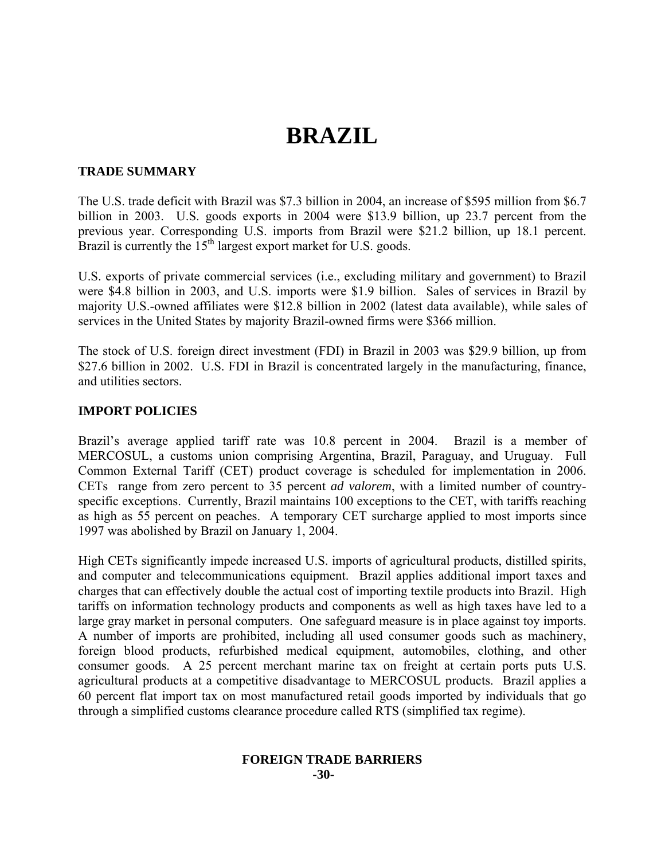# **BRAZIL**

# **TRADE SUMMARY**

The U.S. trade deficit with Brazil was \$7.3 billion in 2004, an increase of \$595 million from \$6.7 billion in 2003. U.S. goods exports in 2004 were \$13.9 billion, up 23.7 percent from the previous year. Corresponding U.S. imports from Brazil were \$21.2 billion, up 18.1 percent. Brazil is currently the  $15<sup>th</sup>$  largest export market for U.S. goods.

U.S. exports of private commercial services (i.e., excluding military and government) to Brazil were \$4.8 billion in 2003, and U.S. imports were \$1.9 billion. Sales of services in Brazil by majority U.S.-owned affiliates were \$12.8 billion in 2002 (latest data available), while sales of services in the United States by majority Brazil-owned firms were \$366 million.

The stock of U.S. foreign direct investment (FDI) in Brazil in 2003 was \$29.9 billion, up from \$27.6 billion in 2002. U.S. FDI in Brazil is concentrated largely in the manufacturing, finance, and utilities sectors.

# **IMPORT POLICIES**

Brazil's average applied tariff rate was 10.8 percent in 2004. Brazil is a member of MERCOSUL, a customs union comprising Argentina, Brazil, Paraguay, and Uruguay. Full Common External Tariff (CET) product coverage is scheduled for implementation in 2006. CETs range from zero percent to 35 percent *ad valorem*, with a limited number of countryspecific exceptions. Currently, Brazil maintains 100 exceptions to the CET, with tariffs reaching as high as 55 percent on peaches. A temporary CET surcharge applied to most imports since 1997 was abolished by Brazil on January 1, 2004.

High CETs significantly impede increased U.S. imports of agricultural products, distilled spirits, and computer and telecommunications equipment. Brazil applies additional import taxes and charges that can effectively double the actual cost of importing textile products into Brazil. High tariffs on information technology products and components as well as high taxes have led to a large gray market in personal computers. One safeguard measure is in place against toy imports. A number of imports are prohibited, including all used consumer goods such as machinery, foreign blood products, refurbished medical equipment, automobiles, clothing, and other consumer goods. A 25 percent merchant marine tax on freight at certain ports puts U.S. agricultural products at a competitive disadvantage to MERCOSUL products. Brazil applies a 60 percent flat import tax on most manufactured retail goods imported by individuals that go through a simplified customs clearance procedure called RTS (simplified tax regime).

#### **FOREIGN TRADE BARRIERS -30-**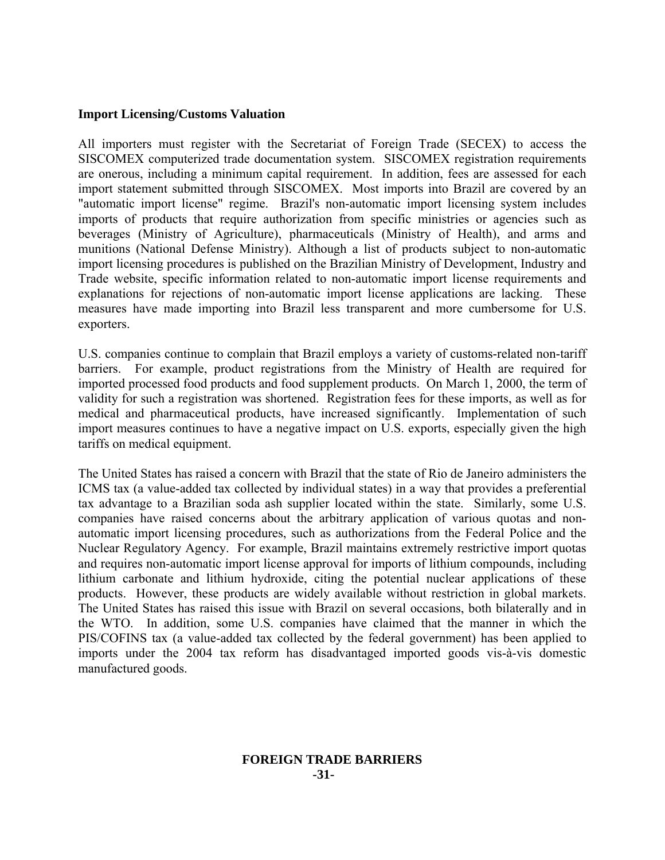# **Import Licensing/Customs Valuation**

All importers must register with the Secretariat of Foreign Trade (SECEX) to access the SISCOMEX computerized trade documentation system. SISCOMEX registration requirements are onerous, including a minimum capital requirement. In addition, fees are assessed for each import statement submitted through SISCOMEX. Most imports into Brazil are covered by an "automatic import license" regime. Brazil's non-automatic import licensing system includes imports of products that require authorization from specific ministries or agencies such as beverages (Ministry of Agriculture), pharmaceuticals (Ministry of Health), and arms and munitions (National Defense Ministry). Although a list of products subject to non-automatic import licensing procedures is published on the Brazilian Ministry of Development, Industry and Trade website, specific information related to non-automatic import license requirements and explanations for rejections of non-automatic import license applications are lacking. These measures have made importing into Brazil less transparent and more cumbersome for U.S. exporters.

U.S. companies continue to complain that Brazil employs a variety of customs-related non-tariff barriers. For example, product registrations from the Ministry of Health are required for imported processed food products and food supplement products. On March 1, 2000, the term of validity for such a registration was shortened. Registration fees for these imports, as well as for medical and pharmaceutical products, have increased significantly. Implementation of such import measures continues to have a negative impact on U.S. exports, especially given the high tariffs on medical equipment.

The United States has raised a concern with Brazil that the state of Rio de Janeiro administers the ICMS tax (a value-added tax collected by individual states) in a way that provides a preferential tax advantage to a Brazilian soda ash supplier located within the state. Similarly, some U.S. companies have raised concerns about the arbitrary application of various quotas and nonautomatic import licensing procedures, such as authorizations from the Federal Police and the Nuclear Regulatory Agency. For example, Brazil maintains extremely restrictive import quotas and requires non-automatic import license approval for imports of lithium compounds, including lithium carbonate and lithium hydroxide, citing the potential nuclear applications of these products. However, these products are widely available without restriction in global markets. The United States has raised this issue with Brazil on several occasions, both bilaterally and in the WTO. In addition, some U.S. companies have claimed that the manner in which the PIS/COFINS tax (a value-added tax collected by the federal government) has been applied to imports under the 2004 tax reform has disadvantaged imported goods vis-à-vis domestic manufactured goods.

# **FOREIGN TRADE BARRIERS -31-**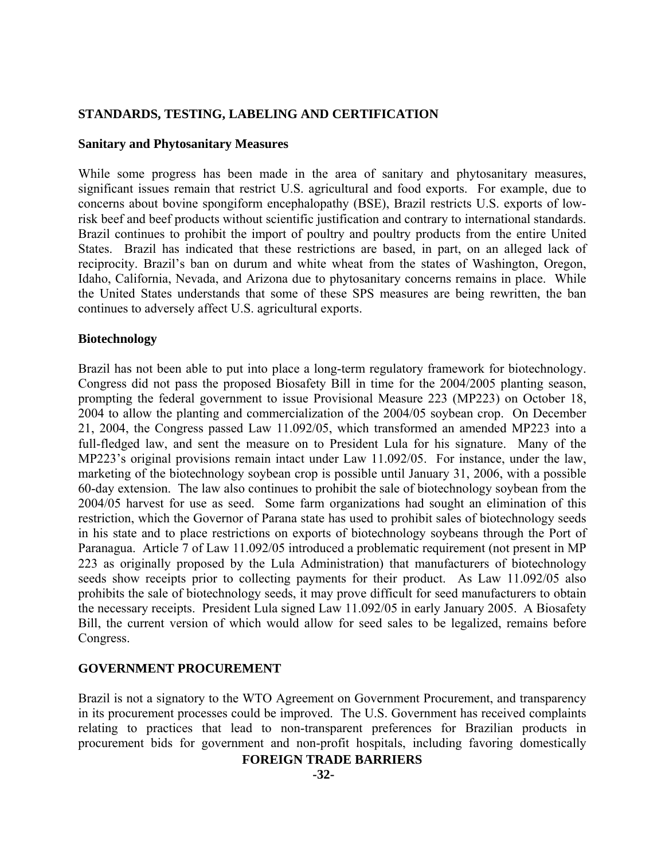# **STANDARDS, TESTING, LABELING AND CERTIFICATION**

# **Sanitary and Phytosanitary Measures**

While some progress has been made in the area of sanitary and phytosanitary measures, significant issues remain that restrict U.S. agricultural and food exports. For example, due to concerns about bovine spongiform encephalopathy (BSE), Brazil restricts U.S. exports of lowrisk beef and beef products without scientific justification and contrary to international standards. Brazil continues to prohibit the import of poultry and poultry products from the entire United States. Brazil has indicated that these restrictions are based, in part, on an alleged lack of reciprocity. Brazil's ban on durum and white wheat from the states of Washington, Oregon, Idaho, California, Nevada, and Arizona due to phytosanitary concerns remains in place. While the United States understands that some of these SPS measures are being rewritten, the ban continues to adversely affect U.S. agricultural exports.

# **Biotechnology**

Brazil has not been able to put into place a long-term regulatory framework for biotechnology. Congress did not pass the proposed Biosafety Bill in time for the 2004/2005 planting season, prompting the federal government to issue Provisional Measure 223 (MP223) on October 18, 2004 to allow the planting and commercialization of the 2004/05 soybean crop. On December 21, 2004, the Congress passed Law 11.092/05, which transformed an amended MP223 into a full-fledged law, and sent the measure on to President Lula for his signature. Many of the MP223's original provisions remain intact under Law 11.092/05. For instance, under the law, marketing of the biotechnology soybean crop is possible until January 31, 2006, with a possible 60-day extension. The law also continues to prohibit the sale of biotechnology soybean from the 2004/05 harvest for use as seed. Some farm organizations had sought an elimination of this restriction, which the Governor of Parana state has used to prohibit sales of biotechnology seeds in his state and to place restrictions on exports of biotechnology soybeans through the Port of Paranagua. Article 7 of Law 11.092/05 introduced a problematic requirement (not present in MP 223 as originally proposed by the Lula Administration) that manufacturers of biotechnology seeds show receipts prior to collecting payments for their product. As Law 11.092/05 also prohibits the sale of biotechnology seeds, it may prove difficult for seed manufacturers to obtain the necessary receipts. President Lula signed Law 11.092/05 in early January 2005. A Biosafety Bill, the current version of which would allow for seed sales to be legalized, remains before Congress.

# **GOVERNMENT PROCUREMENT**

Brazil is not a signatory to the WTO Agreement on Government Procurement, and transparency in its procurement processes could be improved. The U.S. Government has received complaints relating to practices that lead to non-transparent preferences for Brazilian products in procurement bids for government and non-profit hospitals, including favoring domestically

# **FOREIGN TRADE BARRIERS**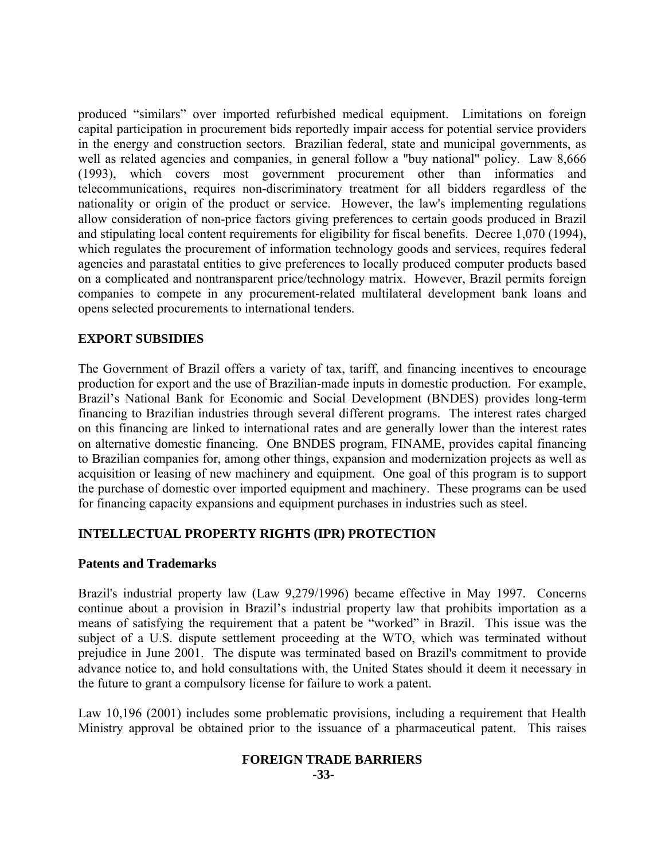produced "similars" over imported refurbished medical equipment. Limitations on foreign capital participation in procurement bids reportedly impair access for potential service providers in the energy and construction sectors. Brazilian federal, state and municipal governments, as well as related agencies and companies, in general follow a "buy national" policy. Law 8,666 (1993), which covers most government procurement other than informatics and telecommunications, requires non-discriminatory treatment for all bidders regardless of the nationality or origin of the product or service. However, the law's implementing regulations allow consideration of non-price factors giving preferences to certain goods produced in Brazil and stipulating local content requirements for eligibility for fiscal benefits. Decree 1,070 (1994), which regulates the procurement of information technology goods and services, requires federal agencies and parastatal entities to give preferences to locally produced computer products based on a complicated and nontransparent price/technology matrix. However, Brazil permits foreign companies to compete in any procurement-related multilateral development bank loans and opens selected procurements to international tenders.

# **EXPORT SUBSIDIES**

The Government of Brazil offers a variety of tax, tariff, and financing incentives to encourage production for export and the use of Brazilian-made inputs in domestic production. For example, Brazil's National Bank for Economic and Social Development (BNDES) provides long-term financing to Brazilian industries through several different programs. The interest rates charged on this financing are linked to international rates and are generally lower than the interest rates on alternative domestic financing. One BNDES program, FINAME, provides capital financing to Brazilian companies for, among other things, expansion and modernization projects as well as acquisition or leasing of new machinery and equipment. One goal of this program is to support the purchase of domestic over imported equipment and machinery. These programs can be used for financing capacity expansions and equipment purchases in industries such as steel.

# **INTELLECTUAL PROPERTY RIGHTS (IPR) PROTECTION**

# **Patents and Trademarks**

Brazil's industrial property law (Law 9,279/1996) became effective in May 1997. Concerns continue about a provision in Brazil's industrial property law that prohibits importation as a means of satisfying the requirement that a patent be "worked" in Brazil. This issue was the subject of a U.S. dispute settlement proceeding at the WTO, which was terminated without prejudice in June 2001. The dispute was terminated based on Brazil's commitment to provide advance notice to, and hold consultations with, the United States should it deem it necessary in the future to grant a compulsory license for failure to work a patent.

Law 10,196 (2001) includes some problematic provisions, including a requirement that Health Ministry approval be obtained prior to the issuance of a pharmaceutical patent. This raises

#### **FOREIGN TRADE BARRIERS -33-**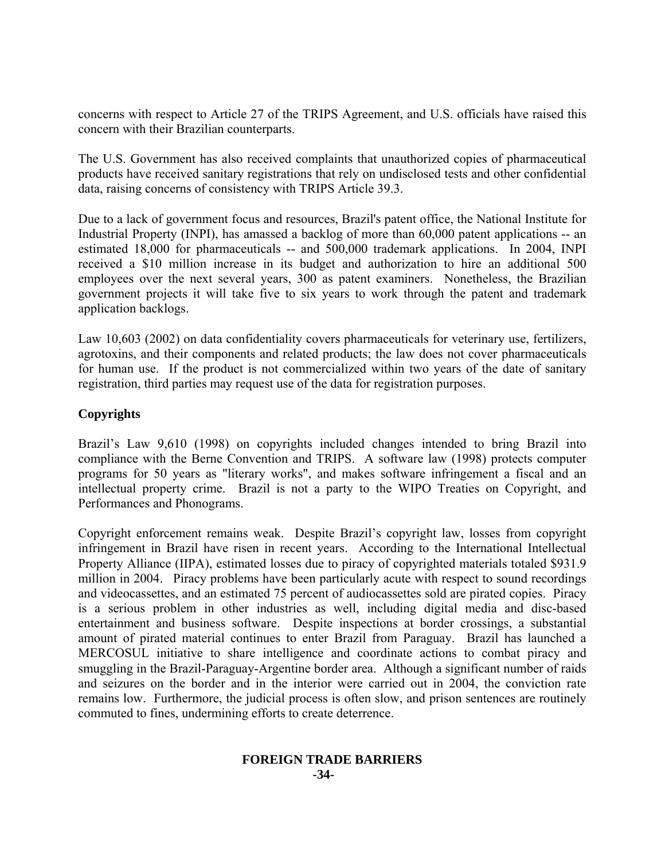concerns with respect to Article 27 of the TRIPS Agreement, and U.S. officials have raised this concern with their Brazilian counterparts.

The U.S. Government has also received complaints that unauthorized copies of pharmaceutical products have received sanitary registrations that rely on undisclosed tests and other confidential data, raising concerns of consistency with TRIPS Article 39.3.

Due to a lack of government focus and resources, Brazil's patent office, the National Institute for Industrial Property (INPI), has amassed a backlog of more than 60,000 patent applications -- an estimated 18,000 for pharmaceuticals -- and 500,000 trademark applications. In 2004, INPI received a \$10 million increase in its budget and authorization to hire an additional 500 employees over the next several years, 300 as patent examiners. Nonetheless, the Brazilian government projects it will take five to six years to work through the patent and trademark application backlogs.

Law 10,603 (2002) on data confidentiality covers pharmaceuticals for veterinary use, fertilizers, agrotoxins, and their components and related products; the law does not cover pharmaceuticals for human use. If the product is not commercialized within two years of the date of sanitary registration, third parties may request use of the data for registration purposes.

# **Copyrights**

Brazil's Law 9,610 (1998) on copyrights included changes intended to bring Brazil into compliance with the Berne Convention and TRIPS. A software law (1998) protects computer programs for 50 years as "literary works", and makes software infringement a fiscal and an intellectual property crime. Brazil is not a party to the WIPO Treaties on Copyright, and Performances and Phonograms.

Copyright enforcement remains weak. Despite Brazil's copyright law, losses from copyright infringement in Brazil have risen in recent years. According to the International Intellectual Property Alliance (IIPA), estimated losses due to piracy of copyrighted materials totaled \$931.9 million in 2004. Piracy problems have been particularly acute with respect to sound recordings and videocassettes, and an estimated 75 percent of audiocassettes sold are pirated copies. Piracy is a serious problem in other industries as well, including digital media and disc-based entertainment and business software. Despite inspections at border crossings, a substantial amount of pirated material continues to enter Brazil from Paraguay. Brazil has launched a MERCOSUL initiative to share intelligence and coordinate actions to combat piracy and smuggling in the Brazil-Paraguay-Argentine border area. Although a significant number of raids and seizures on the border and in the interior were carried out in 2004, the conviction rate remains low. Furthermore, the judicial process is often slow, and prison sentences are routinely commuted to fines, undermining efforts to create deterrence.

# **FOREIGN TRADE BARRIERS -34-**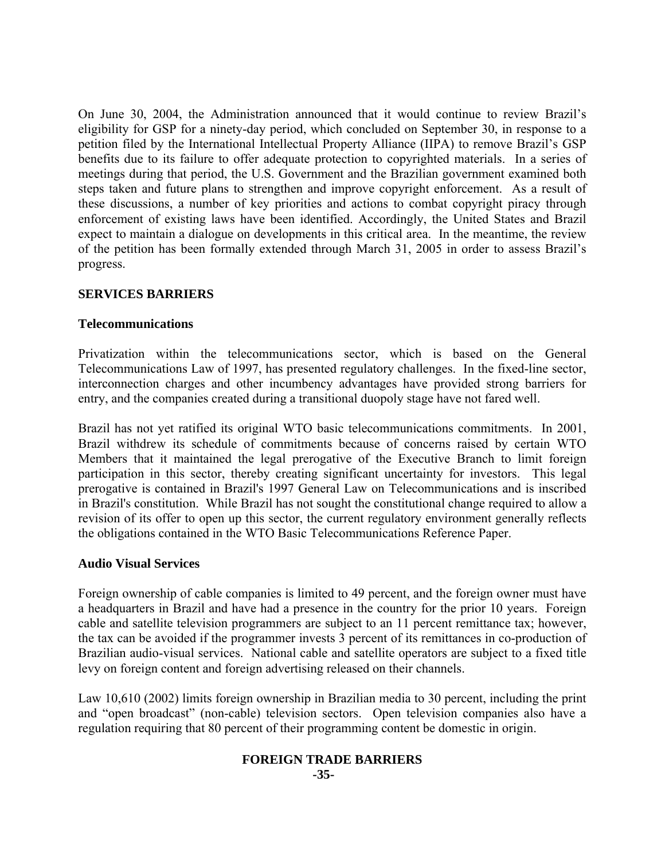On June 30, 2004, the Administration announced that it would continue to review Brazil's eligibility for GSP for a ninety-day period, which concluded on September 30, in response to a petition filed by the International Intellectual Property Alliance (IIPA) to remove Brazil's GSP benefits due to its failure to offer adequate protection to copyrighted materials. In a series of meetings during that period, the U.S. Government and the Brazilian government examined both steps taken and future plans to strengthen and improve copyright enforcement. As a result of these discussions, a number of key priorities and actions to combat copyright piracy through enforcement of existing laws have been identified. Accordingly, the United States and Brazil expect to maintain a dialogue on developments in this critical area. In the meantime, the review of the petition has been formally extended through March 31, 2005 in order to assess Brazil's progress.

# **SERVICES BARRIERS**

#### **Telecommunications**

Privatization within the telecommunications sector, which is based on the General Telecommunications Law of 1997, has presented regulatory challenges. In the fixed-line sector, interconnection charges and other incumbency advantages have provided strong barriers for entry, and the companies created during a transitional duopoly stage have not fared well.

Brazil has not yet ratified its original WTO basic telecommunications commitments. In 2001, Brazil withdrew its schedule of commitments because of concerns raised by certain WTO Members that it maintained the legal prerogative of the Executive Branch to limit foreign participation in this sector, thereby creating significant uncertainty for investors. This legal prerogative is contained in Brazil's 1997 General Law on Telecommunications and is inscribed in Brazil's constitution. While Brazil has not sought the constitutional change required to allow a revision of its offer to open up this sector, the current regulatory environment generally reflects the obligations contained in the WTO Basic Telecommunications Reference Paper.

#### **Audio Visual Services**

Foreign ownership of cable companies is limited to 49 percent, and the foreign owner must have a headquarters in Brazil and have had a presence in the country for the prior 10 years. Foreign cable and satellite television programmers are subject to an 11 percent remittance tax; however, the tax can be avoided if the programmer invests 3 percent of its remittances in co-production of Brazilian audio-visual services. National cable and satellite operators are subject to a fixed title levy on foreign content and foreign advertising released on their channels.

Law 10,610 (2002) limits foreign ownership in Brazilian media to 30 percent, including the print and "open broadcast" (non-cable) television sectors. Open television companies also have a regulation requiring that 80 percent of their programming content be domestic in origin.

#### **FOREIGN TRADE BARRIERS -35-**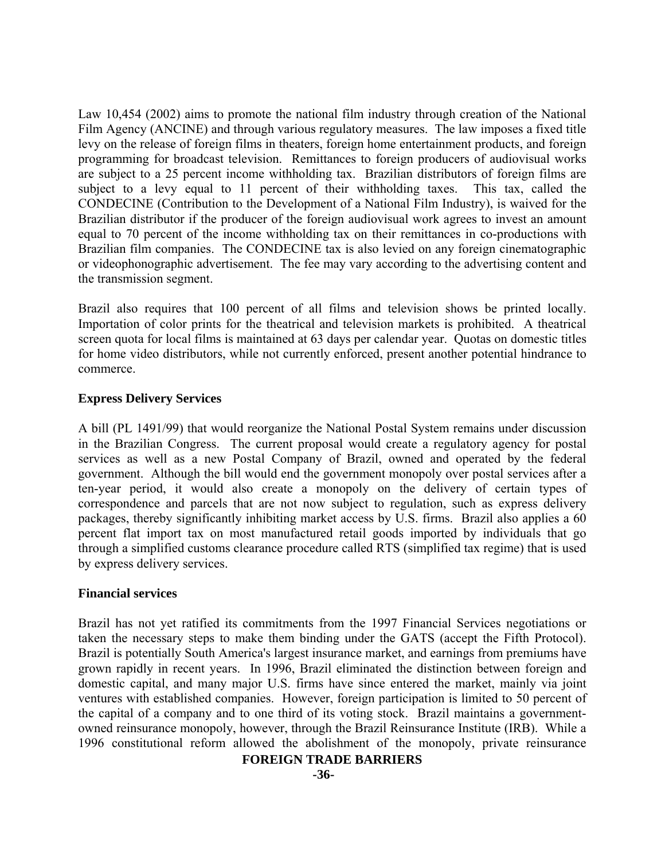Law 10,454 (2002) aims to promote the national film industry through creation of the National Film Agency (ANCINE) and through various regulatory measures. The law imposes a fixed title levy on the release of foreign films in theaters, foreign home entertainment products, and foreign programming for broadcast television. Remittances to foreign producers of audiovisual works are subject to a 25 percent income withholding tax. Brazilian distributors of foreign films are subject to a levy equal to 11 percent of their withholding taxes. This tax, called the CONDECINE (Contribution to the Development of a National Film Industry), is waived for the Brazilian distributor if the producer of the foreign audiovisual work agrees to invest an amount equal to 70 percent of the income withholding tax on their remittances in co-productions with Brazilian film companies. The CONDECINE tax is also levied on any foreign cinematographic or videophonographic advertisement. The fee may vary according to the advertising content and the transmission segment.

Brazil also requires that 100 percent of all films and television shows be printed locally. Importation of color prints for the theatrical and television markets is prohibited. A theatrical screen quota for local films is maintained at 63 days per calendar year. Quotas on domestic titles for home video distributors, while not currently enforced, present another potential hindrance to commerce.

# **Express Delivery Services**

A bill (PL 1491/99) that would reorganize the National Postal System remains under discussion in the Brazilian Congress. The current proposal would create a regulatory agency for postal services as well as a new Postal Company of Brazil, owned and operated by the federal government. Although the bill would end the government monopoly over postal services after a ten-year period, it would also create a monopoly on the delivery of certain types of correspondence and parcels that are not now subject to regulation, such as express delivery packages, thereby significantly inhibiting market access by U.S. firms. Brazil also applies a 60 percent flat import tax on most manufactured retail goods imported by individuals that go through a simplified customs clearance procedure called RTS (simplified tax regime) that is used by express delivery services.

# **Financial services**

Brazil has not yet ratified its commitments from the 1997 Financial Services negotiations or taken the necessary steps to make them binding under the GATS (accept the Fifth Protocol). Brazil is potentially South America's largest insurance market, and earnings from premiums have grown rapidly in recent years. In 1996, Brazil eliminated the distinction between foreign and domestic capital, and many major U.S. firms have since entered the market, mainly via joint ventures with established companies. However, foreign participation is limited to 50 percent of the capital of a company and to one third of its voting stock. Brazil maintains a governmentowned reinsurance monopoly, however, through the Brazil Reinsurance Institute (IRB). While a 1996 constitutional reform allowed the abolishment of the monopoly, private reinsurance

# **FOREIGN TRADE BARRIERS**